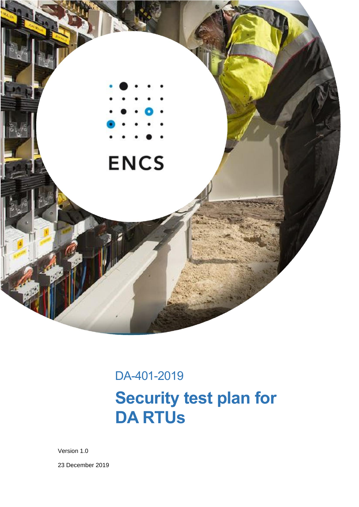

# DA-401-2019 **Security test plan for DA RTUs**

Version 1.0

23 December 2019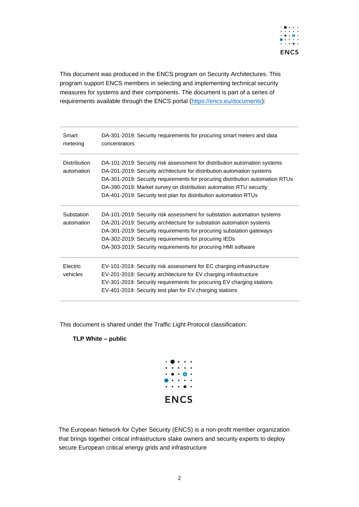

This document was produced in the ENCS program on Security Architectures. This program support ENCS members in selecting and implementing technical security measures for systems and their components. The document is part of a series of requirements available through the ENCS portal [\(https://encs.eu/documents\)](https://encs.eu/documents):

| Smart<br>metering                 | DA-301-2019: Security requirements for procuring smart meters and data<br>concentrators                                                                                                                                                                                                                                                                                        |
|-----------------------------------|--------------------------------------------------------------------------------------------------------------------------------------------------------------------------------------------------------------------------------------------------------------------------------------------------------------------------------------------------------------------------------|
| <b>Distribution</b><br>automation | DA-101-2019: Security risk assessment for distribution automation systems<br>DA-201-2019: Security architecture for distribution automation systems<br>DA-301-2019: Security requirements for procuring distribution automation RTUs<br>DA-390-2019: Market survey on distribution automation RTU security<br>DA-401-2019: Security test plan for distribution automation RTUs |
| Substation<br>automation          | DA-101-2019: Security risk assessment for substation automation systems<br>DA-201-2019: Security architecture for substation automation systems<br>DA-301-2019: Security requirements for procuring substation gateways<br>DA-302-2019: Security requirements for procuring IEDs<br>DA-303-2019: Security requirements for procuring HMI software                              |
| <b>Electric</b><br>vehicles       | EV-101-2019: Security risk assessment for EC charging infrastructure<br>EV-201-2019: Security architecture for EV charging infrastructure<br>EV-301-2019: Security requirements for procuring EV charging stations<br>EV-401-2019: Security test plan for EV charging stations                                                                                                 |

This document is shared under the Traffic Light Protocol classification:

#### **TLP White – public**



The European Network for Cyber Security (ENCS) is a non-profit member organization that brings together critical infrastructure stake owners and security experts to deploy secure European critical energy grids and infrastructure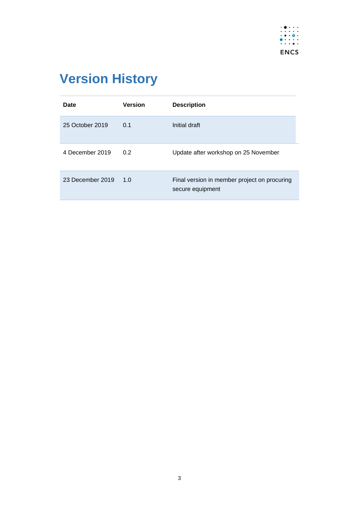

# <span id="page-2-0"></span>**Version History**

| Date             | <b>Version</b> | <b>Description</b>                                               |
|------------------|----------------|------------------------------------------------------------------|
| 25 October 2019  | 0.1            | Initial draft                                                    |
| 4 December 2019  | 0.2            | Update after workshop on 25 November                             |
| 23 December 2019 | 1.0            | Final version in member project on procuring<br>secure equipment |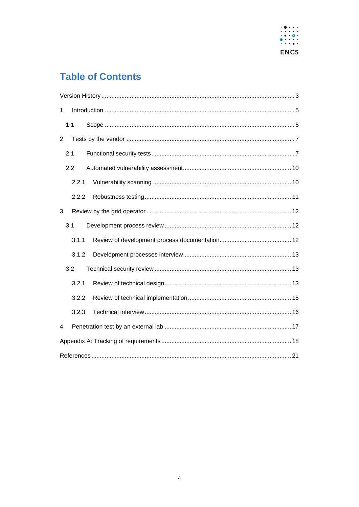

### **Table of Contents**

| 1              |       |  |
|----------------|-------|--|
|                | 1.1   |  |
| $\overline{2}$ |       |  |
|                | 2.1   |  |
|                | 2.2   |  |
|                | 2.2.1 |  |
|                | 2.2.2 |  |
| 3              |       |  |
|                | 3.1   |  |
|                | 3.1.1 |  |
|                | 3.1.2 |  |
|                | 3.2   |  |
|                | 3.2.1 |  |
|                | 3.2.2 |  |
|                | 3.2.3 |  |
| 4              |       |  |
|                |       |  |
|                |       |  |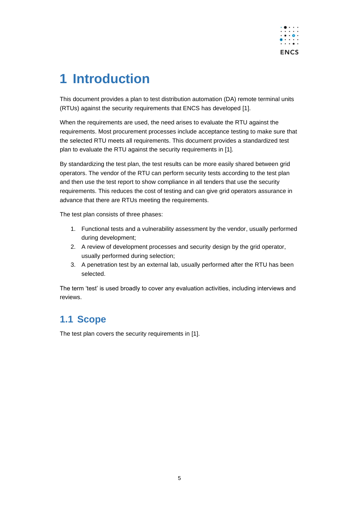

# <span id="page-4-0"></span>**1 Introduction**

This document provides a plan to test distribution automation (DA) remote terminal units (RTUs) against the security requirements that ENCS has developed [1].

When the requirements are used, the need arises to evaluate the RTU against the requirements. Most procurement processes include acceptance testing to make sure that the selected RTU meets all requirements. This document provides a standardized test plan to evaluate the RTU against the security requirements in [1].

By standardizing the test plan, the test results can be more easily shared between grid operators. The vendor of the RTU can perform security tests according to the test plan and then use the test report to show compliance in all tenders that use the security requirements. This reduces the cost of testing and can give grid operators assurance in advance that there are RTUs meeting the requirements.

The test plan consists of three phases:

- 1. Functional tests and a vulnerability assessment by the vendor, usually performed during development;
- 2. A review of development processes and security design by the grid operator, usually performed during selection;
- 3. A penetration test by an external lab, usually performed after the RTU has been selected.

The term 'test' is used broadly to cover any evaluation activities, including interviews and reviews.

### <span id="page-4-1"></span>**1.1 Scope**

The test plan covers the security requirements in [1].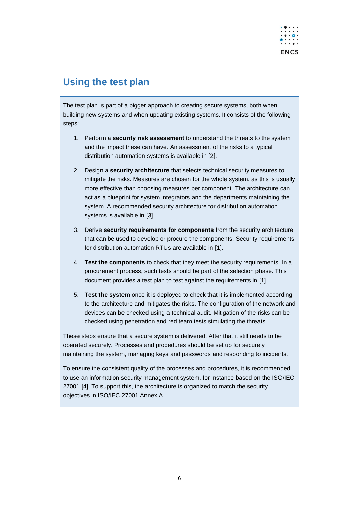

### **Using the test plan**

The test plan is part of a bigger approach to creating secure systems, both when building new systems and when updating existing systems. It consists of the following steps:

- 1. Perform a **security risk assessment** to understand the threats to the system and the impact these can have. An assessment of the risks to a typical distribution automation systems is available in [2].
- 2. Design a **security architecture** that selects technical security measures to mitigate the risks. Measures are chosen for the whole system, as this is usually more effective than choosing measures per component. The architecture can act as a blueprint for system integrators and the departments maintaining the system. A recommended security architecture for distribution automation systems is available in [3].
- 3. Derive **security requirements for components** from the security architecture that can be used to develop or procure the components. Security requirements for distribution automation RTUs are available in [1].
- 4. **Test the components** to check that they meet the security requirements. In a procurement process, such tests should be part of the selection phase. This document provides a test plan to test against the requirements in [1].
- 5. **Test the system** once it is deployed to check that it is implemented according to the architecture and mitigates the risks. The configuration of the network and devices can be checked using a technical audit. Mitigation of the risks can be checked using penetration and red team tests simulating the threats.

These steps ensure that a secure system is delivered. After that it still needs to be operated securely. Processes and procedures should be set up for securely maintaining the system, managing keys and passwords and responding to incidents.

To ensure the consistent quality of the processes and procedures, it is recommended to use an information security management system, for instance based on the ISO/IEC 27001 [4]. To support this, the architecture is organized to match the security objectives in ISO/IEC 27001 Annex A.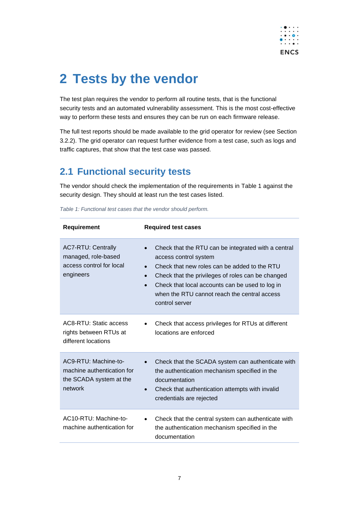

# <span id="page-6-0"></span>**2 Tests by the vendor**

The test plan requires the vendor to perform all routine tests, that is the functional security tests and an automated vulnerability assessment. This is the most cost-effective way to perform these tests and ensures they can be run on each firmware release.

The full test reports should be made available to the grid operator for review (see Section [3.2.2\)](#page-14-0). The grid operator can request further evidence from a test case, such as logs and traffic captures, that show that the test case was passed.

### <span id="page-6-1"></span>**2.1 Functional security tests**

The vendor should check the implementation of the requirements in [Table 1](#page-6-2) against the security design. They should at least run the test cases listed.

| <b>Requirement</b>                                                                        | <b>Required test cases</b>                                                                                                                                                                                                                                                                                                       |
|-------------------------------------------------------------------------------------------|----------------------------------------------------------------------------------------------------------------------------------------------------------------------------------------------------------------------------------------------------------------------------------------------------------------------------------|
| <b>AC7-RTU: Centrally</b><br>managed, role-based<br>access control for local<br>engineers | Check that the RTU can be integrated with a central<br>access control system<br>Check that new roles can be added to the RTU<br>$\bullet$<br>Check that the privileges of roles can be changed<br>$\bullet$<br>Check that local accounts can be used to log in<br>when the RTU cannot reach the central access<br>control server |
| AC8-RTU: Static access<br>rights between RTUs at<br>different locations                   | Check that access privileges for RTUs at different<br>locations are enforced                                                                                                                                                                                                                                                     |
| AC9-RTU: Machine-to-<br>machine authentication for<br>the SCADA system at the<br>network  | Check that the SCADA system can authenticate with<br>$\bullet$<br>the authentication mechanism specified in the<br>documentation<br>Check that authentication attempts with invalid<br>credentials are rejected                                                                                                                  |
| AC10-RTU: Machine-to-<br>machine authentication for                                       | Check that the central system can authenticate with<br>the authentication mechanism specified in the<br>documentation                                                                                                                                                                                                            |

<span id="page-6-2"></span>*Table 1: Functional test cases that the vendor should perform.*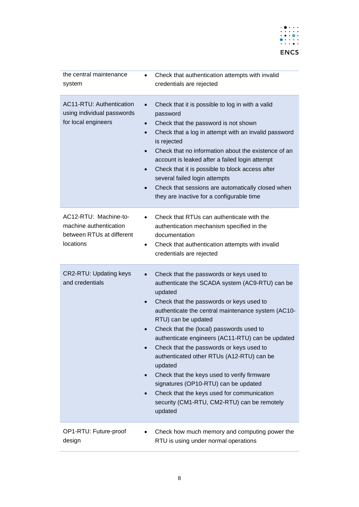

| the central maintenance<br>system                                                         | Check that authentication attempts with invalid<br>$\bullet$<br>credentials are rejected                                                                                                                                                                                                                                                                                                                                                                                                                                                                                                                                                       |
|-------------------------------------------------------------------------------------------|------------------------------------------------------------------------------------------------------------------------------------------------------------------------------------------------------------------------------------------------------------------------------------------------------------------------------------------------------------------------------------------------------------------------------------------------------------------------------------------------------------------------------------------------------------------------------------------------------------------------------------------------|
| <b>AC11-RTU: Authentication</b><br>using individual passwords<br>for local engineers      | Check that it is possible to log in with a valid<br>$\bullet$<br>password<br>Check that the password is not shown<br>$\bullet$<br>Check that a log in attempt with an invalid password<br>$\bullet$<br>is rejected<br>Check that no information about the existence of an<br>account is leaked after a failed login attempt<br>Check that it is possible to block access after<br>several failed login attempts<br>Check that sessions are automatically closed when<br>$\bullet$<br>they are inactive for a configurable time                                                                                                                 |
| AC12-RTU: Machine-to-<br>machine authentication<br>between RTUs at different<br>locations | Check that RTUs can authenticate with the<br>authentication mechanism specified in the<br>documentation<br>Check that authentication attempts with invalid<br>credentials are rejected                                                                                                                                                                                                                                                                                                                                                                                                                                                         |
| <b>CR2-RTU: Updating keys</b><br>and credentials                                          | Check that the passwords or keys used to<br>$\bullet$<br>authenticate the SCADA system (AC9-RTU) can be<br>updated<br>Check that the passwords or keys used to<br>authenticate the central maintenance system (AC10-<br>RTU) can be updated<br>Check that the (local) passwords used to<br>authenticate engineers (AC11-RTU) can be updated<br>Check that the passwords or keys used to<br>authenticated other RTUs (A12-RTU) can be<br>updated<br>Check that the keys used to verify firmware<br>signatures (OP10-RTU) can be updated<br>Check that the keys used for communication<br>security (CM1-RTU, CM2-RTU) can be remotely<br>updated |
| OP1-RTU: Future-proof<br>design                                                           | Check how much memory and computing power the<br>RTU is using under normal operations                                                                                                                                                                                                                                                                                                                                                                                                                                                                                                                                                          |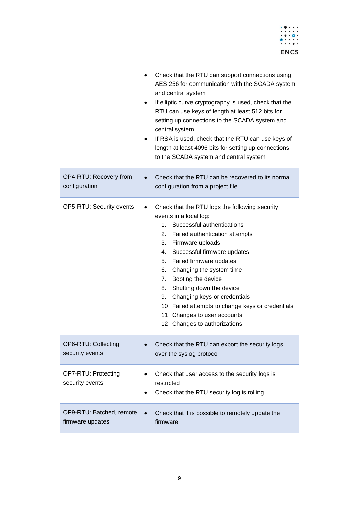

|                                        | Check that the RTU can support connections using<br>$\bullet$<br>AES 256 for communication with the SCADA system<br>and central system<br>If elliptic curve cryptography is used, check that the<br>RTU can use keys of length at least 512 bits for<br>setting up connections to the SCADA system and<br>central system<br>If RSA is used, check that the RTU can use keys of<br>length at least 4096 bits for setting up connections<br>to the SCADA system and central system                     |
|----------------------------------------|------------------------------------------------------------------------------------------------------------------------------------------------------------------------------------------------------------------------------------------------------------------------------------------------------------------------------------------------------------------------------------------------------------------------------------------------------------------------------------------------------|
| OP4-RTU: Recovery from                 | Check that the RTU can be recovered to its normal                                                                                                                                                                                                                                                                                                                                                                                                                                                    |
| configuration                          | configuration from a project file                                                                                                                                                                                                                                                                                                                                                                                                                                                                    |
| OP5-RTU: Security events               | Check that the RTU logs the following security<br>events in a local log:<br>Successful authentications<br>1.<br>2. Failed authentication attempts<br>3. Firmware uploads<br>Successful firmware updates<br>4.<br>5. Failed firmware updates<br>Changing the system time<br>6.<br>7. Booting the device<br>Shutting down the device<br>8.<br>Changing keys or credentials<br>9.<br>10. Failed attempts to change keys or credentials<br>11. Changes to user accounts<br>12. Changes to authorizations |
| OP6-RTU: Collecting                    | Check that the RTU can export the security logs                                                                                                                                                                                                                                                                                                                                                                                                                                                      |
| security events                        | over the syslog protocol                                                                                                                                                                                                                                                                                                                                                                                                                                                                             |
| OP7-RTU: Protecting<br>security events | Check that user access to the security logs is<br>restricted<br>Check that the RTU security log is rolling                                                                                                                                                                                                                                                                                                                                                                                           |
| OP9-RTU: Batched, remote               | Check that it is possible to remotely update the                                                                                                                                                                                                                                                                                                                                                                                                                                                     |
| firmware updates                       | firmware                                                                                                                                                                                                                                                                                                                                                                                                                                                                                             |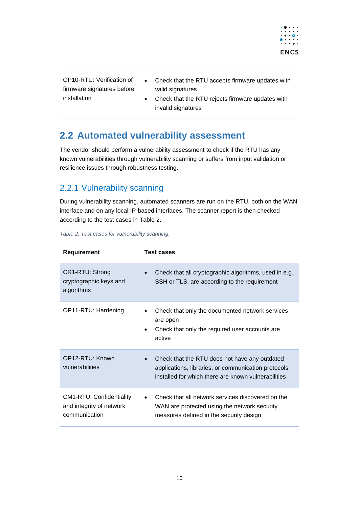

OP10-RTU: Verification of firmware signatures before installation

- Check that the RTU accepts firmware updates with valid signatures
- Check that the RTU rejects firmware updates with invalid signatures

### <span id="page-9-0"></span>**2.2 Automated vulnerability assessment**

The vendor should perform a vulnerability assessment to check if the RTU has any known vulnerabilities through vulnerability scanning or suffers from input validation or resilience issues through robustness testing.

#### <span id="page-9-1"></span>2.2.1 Vulnerability scanning

During vulnerability scanning, automated scanners are run on the RTU, both on the WAN interface and on any local IP-based interfaces. The scanner report is then checked according to the test cases in [Table 2.](#page-9-2)

| Requirement                                                                  | <b>Test cases</b>                                                                                                                                           |
|------------------------------------------------------------------------------|-------------------------------------------------------------------------------------------------------------------------------------------------------------|
| CR1-RTU: Strong<br>cryptographic keys and<br>algorithms                      | Check that all cryptographic algorithms, used in e.g.<br>SSH or TLS, are according to the requirement                                                       |
| OP11-RTU: Hardening                                                          | Check that only the documented network services<br>are open<br>Check that only the required user accounts are.<br>active                                    |
| OP12-RTU: Known<br>vulnerabilities                                           | Check that the RTU does not have any outdated<br>applications, libraries, or communication protocols<br>installed for which there are known vulnerabilities |
| <b>CM1-RTU: Confidentiality</b><br>and integrity of network<br>communication | Check that all network services discovered on the<br>WAN are protected using the network security<br>measures defined in the security design                |

<span id="page-9-2"></span>*Table 2: Test cases for vulnerability scanning.*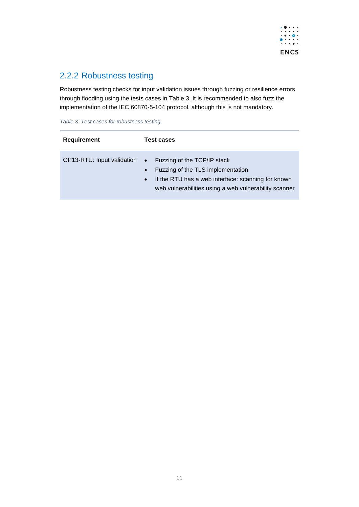

#### <span id="page-10-0"></span>2.2.2 Robustness testing

Robustness testing checks for input validation issues through fuzzing or resilience errors through flooding using the tests cases in [Table 3.](#page-10-1) It is recommended to also fuzz the implementation of the IEC 60870-5-104 protocol, although this is not mandatory.

<span id="page-10-1"></span>*Table 3: Test cases for robustness testing.*

| <b>Requirement</b>         | <b>Test cases</b>                                                                                                                                                                                                      |
|----------------------------|------------------------------------------------------------------------------------------------------------------------------------------------------------------------------------------------------------------------|
| OP13-RTU: Input validation | Fuzzing of the TCP/IP stack<br>$\bullet$<br>Fuzzing of the TLS implementation<br>$\bullet$<br>If the RTU has a web interface: scanning for known<br>$\bullet$<br>web vulnerabilities using a web vulnerability scanner |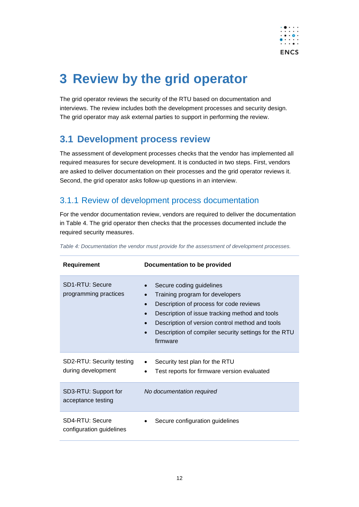

# <span id="page-11-0"></span>**3 Review by the grid operator**

The grid operator reviews the security of the RTU based on documentation and interviews. The review includes both the development processes and security design. The grid operator may ask external parties to support in performing the review.

### <span id="page-11-1"></span>**3.1 Development process review**

The assessment of development processes checks that the vendor has implemented all required measures for secure development. It is conducted in two steps. First, vendors are asked to deliver documentation on their processes and the grid operator reviews it. Second, the grid operator asks follow-up questions in an interview.

#### <span id="page-11-2"></span>3.1.1 Review of development process documentation

For the vendor documentation review, vendors are required to deliver the documentation in [Table 4.](#page-11-3) The grid operator then checks that the processes documented include the required security measures.

| Requirement                                     | Documentation to be provided                                                                                                                                                                                                                                                     |
|-------------------------------------------------|----------------------------------------------------------------------------------------------------------------------------------------------------------------------------------------------------------------------------------------------------------------------------------|
| <b>SD1-RTU: Secure</b><br>programming practices | Secure coding guidelines<br>Training program for developers<br>Description of process for code reviews<br>Description of issue tracking method and tools<br>Description of version control method and tools<br>Description of compiler security settings for the RTU<br>firmware |
| SD2-RTU: Security testing<br>during development | Security test plan for the RTU<br>Test reports for firmware version evaluated                                                                                                                                                                                                    |
| SD3-RTU: Support for<br>acceptance testing      | No documentation required                                                                                                                                                                                                                                                        |
| SD4-RTU: Secure<br>configuration guidelines     | Secure configuration guidelines                                                                                                                                                                                                                                                  |

<span id="page-11-3"></span>*Table 4: Documentation the vendor must provide for the assessment of development processes.*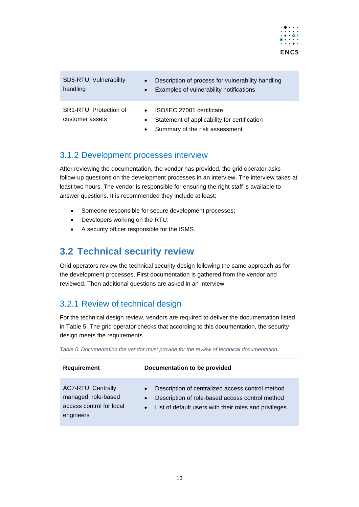

| SD5-RTU: Vulnerability<br>handling        | Description of process for vulnerability handling<br>$\bullet$<br>Examples of vulnerability notifications<br>$\bullet$                |
|-------------------------------------------|---------------------------------------------------------------------------------------------------------------------------------------|
| SR1-RTU: Protection of<br>customer assets | ISO/IEC 27001 certificate<br>Statement of applicability for certification<br>$\bullet$<br>Summary of the risk assessment<br>$\bullet$ |

#### <span id="page-12-0"></span>3.1.2 Development processes interview

After reviewing the documentation, the vendor has provided, the grid operator asks follow-up questions on the development processes in an interview. The interview takes at least two hours. The vendor is responsible for ensuring the right staff is available to answer questions. It is recommended they include at least:

- Someone responsible for secure development processes;
- Developers working on the RTU;
- A security officer responsible for the ISMS.

### <span id="page-12-1"></span>**3.2 Technical security review**

Grid operators review the technical security design following the same approach as for the development processes. First documentation is gathered from the vendor and reviewed. Then additional questions are asked in an interview.

#### <span id="page-12-2"></span>3.2.1 Review of technical design

For the technical design review, vendors are required to deliver the documentation listed in [Table 5.](#page-12-3) The grid operator checks that according to this documentation, the security design meets the requirements.

| <b>Requirement</b>                                                                        | Documentation to be provided                                                                                                                                                                        |
|-------------------------------------------------------------------------------------------|-----------------------------------------------------------------------------------------------------------------------------------------------------------------------------------------------------|
| <b>AC7-RTU: Centrally</b><br>managed, role-based<br>access control for local<br>engineers | Description of centralized access control method<br>$\bullet$<br>Description of role-based access control method<br>$\bullet$<br>List of default users with their roles and privileges<br>$\bullet$ |

<span id="page-12-3"></span>*Table 5: Documentation the vendor must provide for the review of technical documentation.*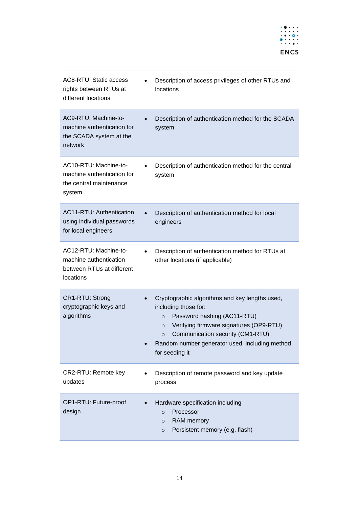

| <b>AC8-RTU: Static access</b><br>rights between RTUs at<br>different locations            | Description of access privileges of other RTUs and<br>$\bullet$<br>locations                                                                                                                                                                                                              |
|-------------------------------------------------------------------------------------------|-------------------------------------------------------------------------------------------------------------------------------------------------------------------------------------------------------------------------------------------------------------------------------------------|
| AC9-RTU: Machine-to-<br>machine authentication for<br>the SCADA system at the<br>network  | Description of authentication method for the SCADA<br>system                                                                                                                                                                                                                              |
| AC10-RTU: Machine-to-<br>machine authentication for<br>the central maintenance<br>system  | Description of authentication method for the central<br>system                                                                                                                                                                                                                            |
| <b>AC11-RTU: Authentication</b><br>using individual passwords<br>for local engineers      | Description of authentication method for local<br>engineers                                                                                                                                                                                                                               |
| AC12-RTU: Machine-to-<br>machine authentication<br>between RTUs at different<br>locations | Description of authentication method for RTUs at<br>other locations (if applicable)                                                                                                                                                                                                       |
| CR1-RTU: Strong<br>cryptographic keys and<br>algorithms                                   | Cryptographic algorithms and key lengths used,<br>including those for:<br>Password hashing (AC11-RTU)<br>$\circ$<br>Verifying firmware signatures (OP9-RTU)<br>$\circ$<br>Communication security (CM1-RTU)<br>$\circ$<br>Random number generator used, including method<br>for seeding it |
| CR2-RTU: Remote key<br>updates                                                            | Description of remote password and key update<br>process                                                                                                                                                                                                                                  |
| OP1-RTU: Future-proof<br>design                                                           | Hardware specification including<br>Processor<br>$\circ$<br>RAM memory<br>$\circ$<br>Persistent memory (e.g. flash)<br>$\circ$                                                                                                                                                            |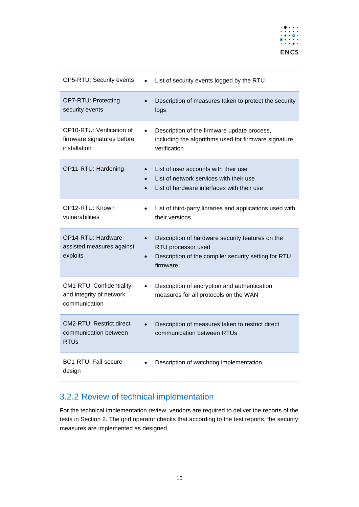

| OP5-RTU: Security events                                                     | List of security events logged by the RTU                                                                                                  |
|------------------------------------------------------------------------------|--------------------------------------------------------------------------------------------------------------------------------------------|
| OP7-RTU: Protecting<br>security events                                       | Description of measures taken to protect the security<br>logs                                                                              |
| OP10-RTU: Verification of<br>firmware signatures before<br>installation      | Description of the firmware update process,<br>including the algorithms used for firmware signature<br>verification                        |
| OP11-RTU: Hardening                                                          | List of user accounts with their use<br>List of network services with their use<br>List of hardware interfaces with their use              |
| OP12-RTU: Known<br>vulnerabilities                                           | List of third-party libraries and applications used with<br>their versions                                                                 |
| OP14-RTU: Hardware<br>assisted measures against<br>exploits                  | Description of hardware security features on the<br>RTU processor used<br>Description of the compiler security setting for RTU<br>firmware |
| <b>CM1-RTU: Confidentiality</b><br>and integrity of network<br>communication | Description of encryption and authentication<br>measures for all protocols on the WAN                                                      |
| <b>CM2-RTU: Restrict direct</b><br>communication between<br><b>RTUs</b>      | Description of measures taken to restrict direct<br>communication between RTUs                                                             |
| <b>BC1-RTU: Fail-secure</b><br>design                                        | Description of watchdog implementation                                                                                                     |

### <span id="page-14-0"></span>3.2.2 Review of technical implementation

For the technical implementation review, vendors are required to deliver the reports of the tests in Section [2.](#page-6-0) The grid operator checks that according to the test reports, the security measures are implemented as designed.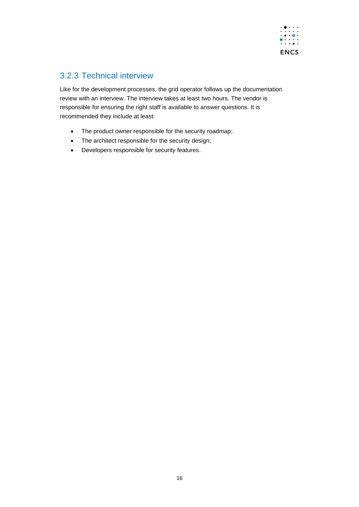

#### <span id="page-15-0"></span>3.2.3 Technical interview

Like for the development processes, the grid operator follows up the documentation review with an interview. The interview takes at least two hours. The vendor is responsible for ensuring the right staff is available to answer questions. It is recommended they include at least:

- The product owner responsible for the security roadmap;
- The architect responsible for the security design;
- Developers responsible for security features.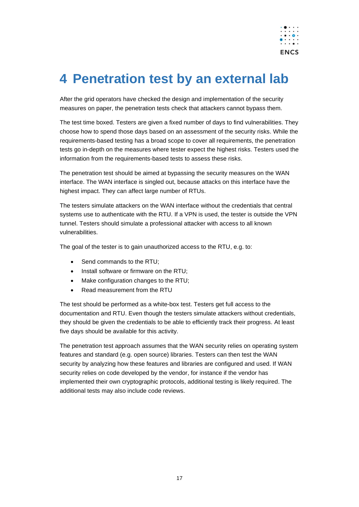

# <span id="page-16-0"></span>**4 Penetration test by an external lab**

After the grid operators have checked the design and implementation of the security measures on paper, the penetration tests check that attackers cannot bypass them.

The test time boxed. Testers are given a fixed number of days to find vulnerabilities. They choose how to spend those days based on an assessment of the security risks. While the requirements-based testing has a broad scope to cover all requirements, the penetration tests go in-depth on the measures where tester expect the highest risks. Testers used the information from the requirements-based tests to assess these risks.

The penetration test should be aimed at bypassing the security measures on the WAN interface. The WAN interface is singled out, because attacks on this interface have the highest impact. They can affect large number of RTUs.

The testers simulate attackers on the WAN interface without the credentials that central systems use to authenticate with the RTU. If a VPN is used, the tester is outside the VPN tunnel. Testers should simulate a professional attacker with access to all known vulnerabilities.

The goal of the tester is to gain unauthorized access to the RTU, e.g. to:

- Send commands to the RTU:
- Install software or firmware on the RTU;
- Make configuration changes to the RTU;
- Read measurement from the RTU

The test should be performed as a white-box test. Testers get full access to the documentation and RTU. Even though the testers simulate attackers without credentials, they should be given the credentials to be able to efficiently track their progress. At least five days should be available for this activity.

The penetration test approach assumes that the WAN security relies on operating system features and standard (e.g. open source) libraries. Testers can then test the WAN security by analyzing how these features and libraries are configured and used. If WAN security relies on code developed by the vendor, for instance if the vendor has implemented their own cryptographic protocols, additional testing is likely required. The additional tests may also include code reviews.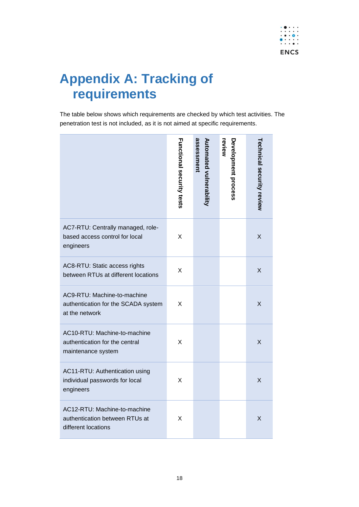

# <span id="page-17-0"></span>**Appendix A: Tracking of requirements**

The table below shows which requirements are checked by which test activities. The penetration test is not included, as it is not aimed at specific requirements.

|                                                                                       | <b>Functional security tests</b> | assessment<br>Automated vulnerability | review<br>Development process | <b>Technical security review</b> |
|---------------------------------------------------------------------------------------|----------------------------------|---------------------------------------|-------------------------------|----------------------------------|
| AC7-RTU: Centrally managed, role-<br>based access control for local<br>engineers      | X                                |                                       |                               | X                                |
| AC8-RTU: Static access rights<br>between RTUs at different locations                  | X                                |                                       |                               | X                                |
| AC9-RTU: Machine-to-machine<br>authentication for the SCADA system<br>at the network  | X                                |                                       |                               | X                                |
| AC10-RTU: Machine-to-machine<br>authentication for the central<br>maintenance system  | X                                |                                       |                               | X                                |
| AC11-RTU: Authentication using<br>individual passwords for local<br>engineers         | X                                |                                       |                               | X                                |
| AC12-RTU: Machine-to-machine<br>authentication between RTUs at<br>different locations | X                                |                                       |                               | X                                |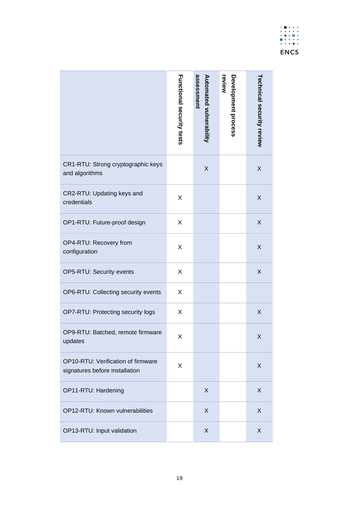|                                                                      | <b>Functional security tests</b> | assessment<br>Automated vulnerability | review<br>Development process | <b>Technical security review</b> |
|----------------------------------------------------------------------|----------------------------------|---------------------------------------|-------------------------------|----------------------------------|
| CR1-RTU: Strong cryptographic keys<br>and algorithms                 |                                  | $\sf X$                               |                               | $\mathsf X$                      |
| CR2-RTU: Updating keys and<br>credentials                            | X                                |                                       |                               | $\sf X$                          |
| OP1-RTU: Future-proof design                                         | X                                |                                       |                               | $\sf X$                          |
| OP4-RTU: Recovery from<br>configuration                              | X                                |                                       |                               | $\sf X$                          |
| OP5-RTU: Security events                                             | X                                |                                       |                               | $\sf X$                          |
| OP6-RTU: Collecting security events                                  | X                                |                                       |                               |                                  |
| OP7-RTU: Protecting security logs                                    | X                                |                                       |                               | $\sf X$                          |
| OP9-RTU: Batched, remote firmware<br>updates                         | Χ                                |                                       |                               | Χ                                |
| OP10-RTU: Verification of firmware<br>signatures before installation | X                                |                                       |                               | X                                |
| OP11-RTU: Hardening                                                  |                                  | X                                     |                               | X                                |
| OP12-RTU: Known vulnerabilities                                      |                                  | X                                     |                               | X                                |
| OP13-RTU: Input validation                                           |                                  | X                                     |                               | X                                |
|                                                                      | 19                               |                                       |                               |                                  |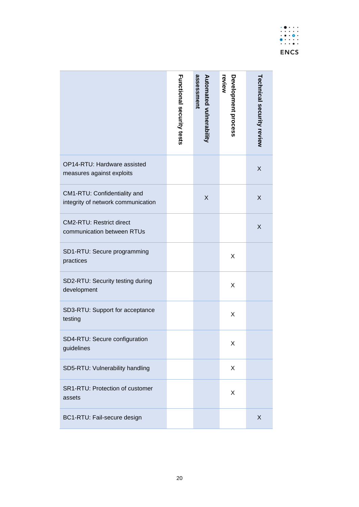|                                                                    | <b>Functional security tests</b> | assessment<br>Automated vulnerability | review<br>Development process | Technical security review |
|--------------------------------------------------------------------|----------------------------------|---------------------------------------|-------------------------------|---------------------------|
| OP14-RTU: Hardware assisted<br>measures against exploits           |                                  |                                       |                               | X                         |
| CM1-RTU: Confidentiality and<br>integrity of network communication |                                  | X                                     |                               | X                         |
| CM2-RTU: Restrict direct<br>communication between RTUs             |                                  |                                       |                               | X                         |
| SD1-RTU: Secure programming<br>practices                           |                                  |                                       | X                             |                           |
| SD2-RTU: Security testing during<br>development                    |                                  |                                       | Χ                             |                           |
| SD3-RTU: Support for acceptance<br>testing                         |                                  |                                       | Χ                             |                           |
| SD4-RTU: Secure configuration<br>guidelines                        |                                  |                                       | Χ                             |                           |
| SD5-RTU: Vulnerability handling                                    |                                  |                                       | X                             |                           |
| SR1-RTU: Protection of customer<br>assets                          |                                  |                                       | Χ                             |                           |
| BC1-RTU: Fail-secure design                                        |                                  |                                       |                               | X                         |
|                                                                    | 20                               |                                       |                               |                           |